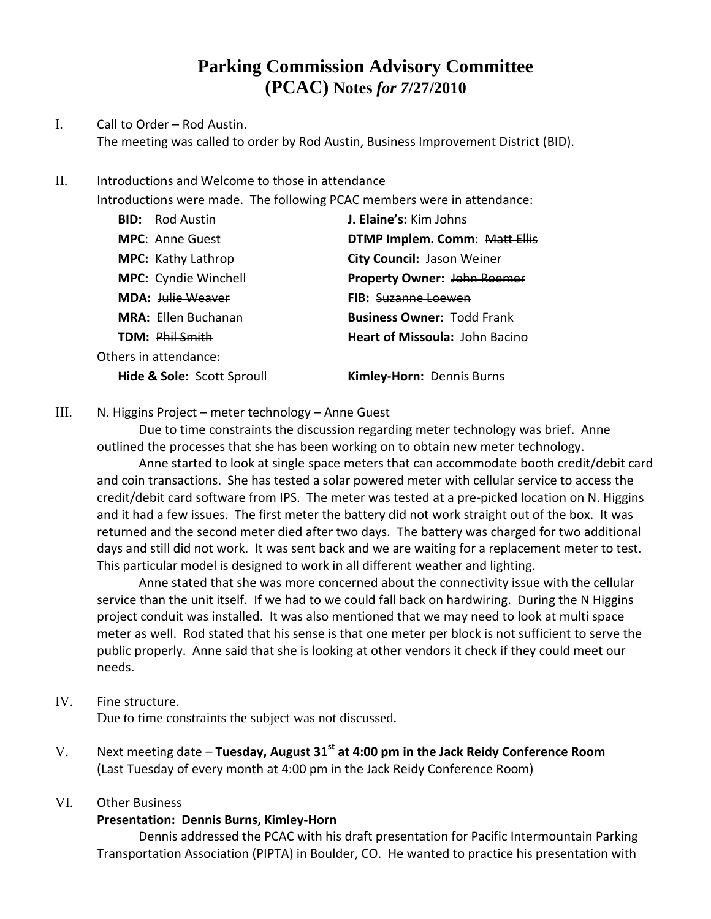# **Parking Commission Advisory Committee (PCAC) Notes** *for 7***/27/2010**

## I. Call to Order – Rod Austin. The meeting was called to order by Rod Austin, Business Improvement District (BID).

#### II. Introductions and Welcome to those in attendance

Introductions were made. The following PCAC members were in attendance:

| <b>BID:</b> Rod Austin      | J. Elaine's: Kim Johns                |
|-----------------------------|---------------------------------------|
| <b>MPC:</b> Anne Guest      | DTMP Implem. Comm: Matt Ellis         |
| <b>MPC:</b> Kathy Lathrop   | City Council: Jason Weiner            |
| <b>MPC:</b> Cyndie Winchell | <b>Property Owner: John Roemer</b>    |
| <b>MDA: Julie Weaver</b>    | <b>FIB:</b> Suzanne Loewen            |
| MRA: Ellen Buchanan         | <b>Business Owner: Todd Frank</b>     |
| TDM: Phil Smith             | <b>Heart of Missoula: John Bacino</b> |
| Others in attendance:       |                                       |
| Hide & Sole: Scott Sproull  | Kimley-Horn: Dennis Burns             |

### III. N. Higgins Project – meter technology – Anne Guest

Due to time constraints the discussion regarding meter technology was brief. Anne outlined the processes that she has been working on to obtain new meter technology.

Anne started to look at single space meters that can accommodate booth credit/debit card and coin transactions. She has tested a solar powered meter with cellular service to access the credit/debit card software from IPS. The meter was tested at a pre-picked location on N. Higgins and it had a few issues. The first meter the battery did not work straight out of the box. It was returned and the second meter died after two days. The battery was charged for two additional days and still did not work. It was sent back and we are waiting for a replacement meter to test. This particular model is designed to work in all different weather and lighting.

Anne stated that she was more concerned about the connectivity issue with the cellular service than the unit itself. If we had to we could fall back on hardwiring. During the N Higgins project conduit was installed. It was also mentioned that we may need to look at multi space meter as well. Rod stated that his sense is that one meter per block is not sufficient to serve the public properly. Anne said that she is looking at other vendors it check if they could meet our needs.

### IV. Fine structure.

Due to time constraints the subject was not discussed.

V. Next meeting date – **Tuesday, August 31st at 4:00 pm in the Jack Reidy Conference Room** (Last Tuesday of every month at 4:00 pm in the Jack Reidy Conference Room)

### VI. Other Business

### **Presentation: Dennis Burns, Kimley-Horn**

Dennis addressed the PCAC with his draft presentation for Pacific Intermountain Parking Transportation Association (PIPTA) in Boulder, CO. He wanted to practice his presentation with